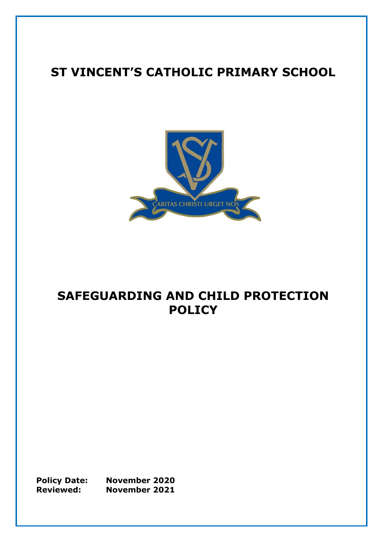# **ST VINCENT'S CATHOLIC PRIMARY SCHOOL**



# **SAFEGUARDING AND CHILD PROTECTION POLICY**

**Policy Date: November 2020 Reviewed: November 2021**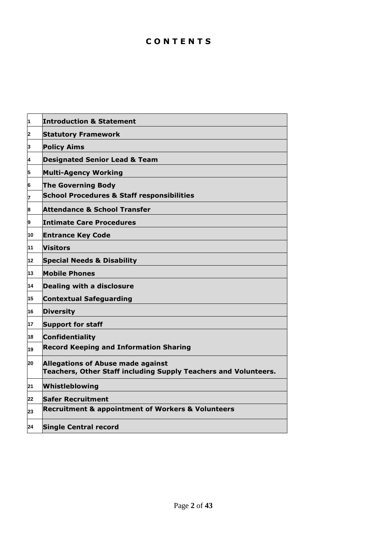# **C O N T E N T S**

| 1  | <b>Introduction &amp; Statement</b>                                                                         |
|----|-------------------------------------------------------------------------------------------------------------|
| 2  | <b>Statutory Framework</b>                                                                                  |
| 3  | <b>Policy Aims</b>                                                                                          |
| 4  | <b>Designated Senior Lead &amp; Team</b>                                                                    |
| 5  | <b>Multi-Agency Working</b>                                                                                 |
| 6  | <b>The Governing Body</b>                                                                                   |
| 7  | <b>School Procedures &amp; Staff responsibilities</b>                                                       |
| 8  | <b>Attendance &amp; School Transfer</b>                                                                     |
| 9  | <b>Intimate Care Procedures</b>                                                                             |
| 10 | <b>Entrance Key Code</b>                                                                                    |
| 11 | <b>Visitors</b>                                                                                             |
| 12 | <b>Special Needs &amp; Disability</b>                                                                       |
| 13 | <b>Mobile Phones</b>                                                                                        |
| 14 | Dealing with a disclosure                                                                                   |
| 15 | <b>Contextual Safeguarding</b>                                                                              |
| 16 | <b>Diversity</b>                                                                                            |
| 17 | <b>Support for staff</b>                                                                                    |
| 18 | <b>Confidentiality</b>                                                                                      |
| 19 | <b>Record Keeping and Information Sharing</b>                                                               |
| 20 | <b>Allegations of Abuse made against</b><br>Teachers, Other Staff including Supply Teachers and Volunteers. |
| 21 | Whistleblowing                                                                                              |
| 22 | <b>Safer Recruitment</b>                                                                                    |
| 23 | <b>Recruitment &amp; appointment of Workers &amp; Volunteers</b>                                            |
| 24 | <b>Single Central record</b>                                                                                |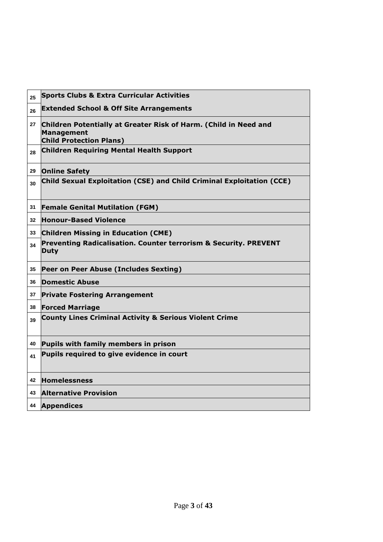| 25 | <b>Sports Clubs &amp; Extra Curricular Activities</b>                                                                   |
|----|-------------------------------------------------------------------------------------------------------------------------|
| 26 | <b>Extended School &amp; Off Site Arrangements</b>                                                                      |
| 27 | Children Potentially at Greater Risk of Harm. (Child in Need and<br><b>Management</b><br><b>Child Protection Plans)</b> |
| 28 | <b>Children Requiring Mental Health Support</b>                                                                         |
| 29 | <b>Online Safety</b>                                                                                                    |
| 30 | <b>Child Sexual Exploitation (CSE) and Child Criminal Exploitation (CCE)</b>                                            |
| 31 | <b>Female Genital Mutilation (FGM)</b>                                                                                  |
| 32 | <b>Honour-Based Violence</b>                                                                                            |
| 33 | <b>Children Missing in Education (CME)</b>                                                                              |
| 34 | Preventing Radicalisation. Counter terrorism & Security. PREVENT<br><b>Duty</b>                                         |
| 35 | Peer on Peer Abuse (Includes Sexting)                                                                                   |
| 36 | <b>Domestic Abuse</b>                                                                                                   |
| 37 | <b>Private Fostering Arrangement</b>                                                                                    |
| 38 | <b>Forced Marriage</b>                                                                                                  |
| 39 | <b>County Lines Criminal Activity &amp; Serious Violent Crime</b>                                                       |
| 40 | Pupils with family members in prison                                                                                    |
| 41 | Pupils required to give evidence in court                                                                               |
| 42 | <b>Homelessness</b>                                                                                                     |
| 43 | <b>Alternative Provision</b>                                                                                            |
| 44 | <b>Appendices</b>                                                                                                       |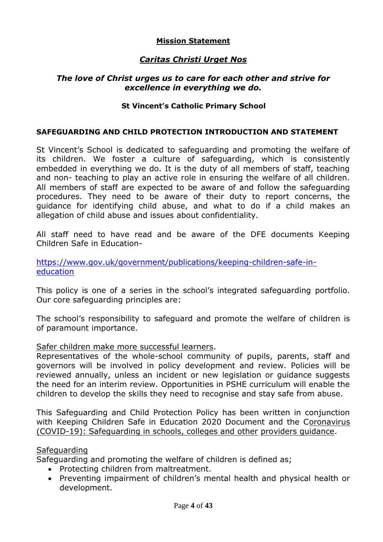#### **Mission Statement**

## *Caritas Christi Urget Nos*

#### *The love of Christ urges us to care for each other and strive for excellence in everything we do.*

#### **St Vincent's Catholic Primary School**

#### **SAFEGUARDING AND CHILD PROTECTION INTRODUCTION AND STATEMENT**

St Vincent's School is dedicated to safeguarding and promoting the welfare of its children. We foster a culture of safeguarding, which is consistently embedded in everything we do. It is the duty of all members of staff, teaching and non- teaching to play an active role in ensuring the welfare of all children. All members of staff are expected to be aware of and follow the safeguarding procedures. They need to be aware of their duty to report concerns, the guidance for identifying child abuse, and what to do if a child makes an allegation of child abuse and issues about confidentiality.

All staff need to have read and be aware of the DFE documents Keeping Children Safe in Education-

[https://www.gov.uk/government/publications/keeping-children-safe-in](https://www.gov.uk/government/publications/keeping-children-safe-in-education)[education](https://www.gov.uk/government/publications/keeping-children-safe-in-education)

This policy is one of a series in the school's integrated safeguarding portfolio. Our core safeguarding principles are:

The school's responsibility to safeguard and promote the welfare of children is of paramount importance.

#### Safer children make more successful learners.

Representatives of the whole-school community of pupils, parents, staff and governors will be involved in policy development and review. Policies will be reviewed annually, unless an incident or new legislation or guidance suggests the need for an interim review. Opportunities in PSHE curriculum will enable the children to develop the skills they need to recognise and stay safe from abuse.

This Safeguarding and Child Protection Policy has been written in conjunction with Keeping Children Safe in Education 2020 Document and the [Coronavirus](https://www.gov.uk/government/publications/covid-19-safeguarding-in-schools-colleges-and-other-providers/coronavirus-covid-19-safeguarding-in-schools-colleges-and-other-providers)  [\(COVID-19\): Safeguarding in schools, colleges and other](https://www.gov.uk/government/publications/covid-19-safeguarding-in-schools-colleges-and-other-providers/coronavirus-covid-19-safeguarding-in-schools-colleges-and-other-providers) [providers guidance.](https://www.gov.uk/government/publications/covid-19-safeguarding-in-schools-colleges-and-other-providers/coronavirus-covid-19-safeguarding-in-schools-colleges-and-other-providers)

#### **Safeguarding**

Safeguarding and promoting the welfare of children is defined as;

- Protecting children from maltreatment.
- Preventing impairment of children's mental health and physical health or development.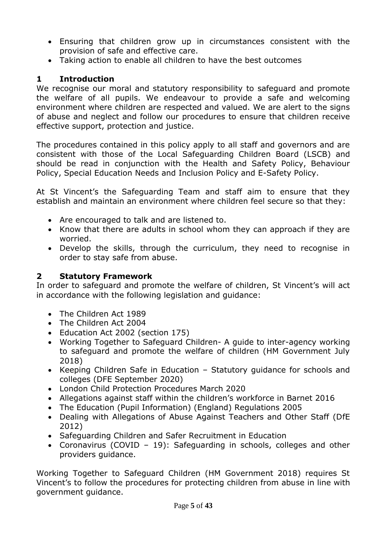- Ensuring that children grow up in circumstances consistent with the provision of safe and effective care.
- Taking action to enable all children to have the best outcomes

# **1 Introduction**

We recognise our moral and statutory responsibility to safeguard and promote the welfare of all pupils. We endeavour to provide a safe and welcoming environment where children are respected and valued. We are alert to the signs of abuse and neglect and follow our procedures to ensure that children receive effective support, protection and justice.

The procedures contained in this policy apply to all staff and governors and are consistent with those of the Local Safeguarding Children Board (LSCB) and should be read in conjunction with the Health and Safety Policy, Behaviour Policy, Special Education Needs and Inclusion Policy and E-Safety Policy.

At St Vincent's the Safeguarding Team and staff aim to ensure that they establish and maintain an environment where children feel secure so that they:

- Are encouraged to talk and are listened to.
- Know that there are adults in school whom they can approach if they are worried.
- Develop the skills, through the curriculum, they need to recognise in order to stay safe from abuse.

# **2 Statutory Framework**

In order to safeguard and promote the welfare of children, St Vincent's will act in accordance with the following legislation and guidance:

- The Children Act 1989
- The Children Act 2004
- Education Act 2002 (section 175)
- Working Together to Safeguard Children- A guide to inter-agency working to safeguard and promote the welfare of children (HM Government July 2018)
- Keeping Children Safe in Education Statutory guidance for schools and colleges (DFE September 2020)
- London Child Protection Procedures March 2020
- Allegations against staff within the children's workforce in Barnet 2016
- The Education (Pupil Information) (England) Regulations 2005
- Dealing with Allegations of Abuse Against Teachers and Other Staff (DfE 2012)
- Safeguarding Children and Safer Recruitment in Education
- Coronavirus (COVID 19): Safeguarding in schools, colleges and other providers guidance.

Working Together to Safeguard Children (HM Government 2018) requires St Vincent's to follow the procedures for protecting children from abuse in line with government guidance.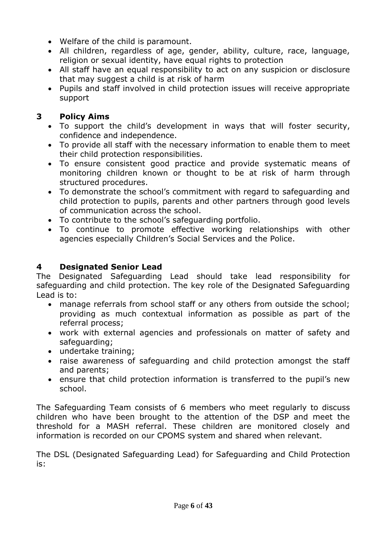- Welfare of the child is paramount.
- All children, regardless of age, gender, ability, culture, race, language, religion or sexual identity, have equal rights to protection
- All staff have an equal responsibility to act on any suspicion or disclosure that may suggest a child is at risk of harm
- Pupils and staff involved in child protection issues will receive appropriate support

# **3 Policy Aims**

- To support the child's development in ways that will foster security, confidence and independence.
- To provide all staff with the necessary information to enable them to meet their child protection responsibilities.
- To ensure consistent good practice and provide systematic means of monitoring children known or thought to be at risk of harm through structured procedures.
- To demonstrate the school's commitment with regard to safeguarding and child protection to pupils, parents and other partners through good levels of communication across the school.
- To contribute to the school's safeguarding portfolio.
- To continue to promote effective working relationships with other agencies especially Children's Social Services and the Police.

# **4 Designated Senior Lead**

The Designated Safeguarding Lead should take lead responsibility for safeguarding and child protection. The key role of the Designated Safeguarding Lead is to:

- manage referrals from school staff or any others from outside the school; providing as much contextual information as possible as part of the referral process;
- work with external agencies and professionals on matter of safety and safeguarding;
- undertake training;
- raise awareness of safeguarding and child protection amongst the staff and parents;
- ensure that child protection information is transferred to the pupil's new school.

The Safeguarding Team consists of 6 members who meet regularly to discuss children who have been brought to the attention of the DSP and meet the threshold for a MASH referral. These children are monitored closely and information is recorded on our CPOMS system and shared when relevant.

The DSL (Designated Safeguarding Lead) for Safeguarding and Child Protection is: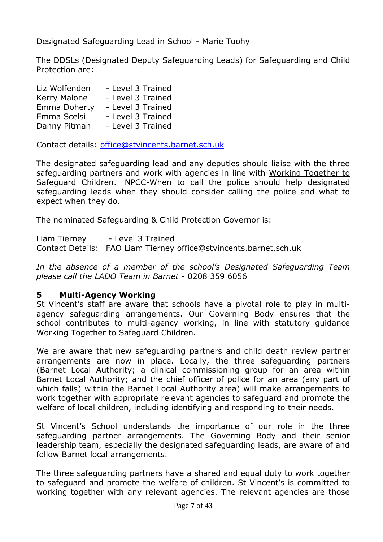Designated Safeguarding Lead in School - Marie Tuohy

The DDSLs (Designated Deputy Safeguarding Leads) for Safeguarding and Child Protection are:

| Liz Wolfenden | - Level 3 Trained |
|---------------|-------------------|
| Kerry Malone  | - Level 3 Trained |
| Emma Doherty  | - Level 3 Trained |
| Emma Scelsi   | - Level 3 Trained |
| Danny Pitman  | - Level 3 Trained |

Contact details: [office@stvincents.barnet.sch.uk](mailto:office@stvincents.barnet.sch.uk)

The designated safeguarding lead and any deputies should liaise with the three safeguarding partners and work with agencies in line with Working Together to Safeguard Children. NPCC-When to call the police should help designated safeguarding leads when they should consider calling the police and what to expect when they do.

The nominated Safeguarding & Child Protection Governor is:

Liam Tierney - Level 3 Trained Contact Details: FAO Liam Tierney office@stvincents.barnet.sch.uk

*In the absence of a member of the school's Designated Safeguarding Team please call the LADO Team in Barnet -* 0208 359 6056

## **5 Multi-Agency Working**

St Vincent's staff are aware that schools have a pivotal role to play in multiagency safeguarding arrangements. Our Governing Body ensures that the school contributes to multi-agency working, in line with statutory guidance Working Together to Safeguard Children.

We are aware that new safeguarding partners and child death review partner arrangements are now in place. Locally, the three safeguarding partners (Barnet Local Authority; a clinical commissioning group for an area within Barnet Local Authority; and the chief officer of police for an area (any part of which falls) within the Barnet Local Authority area) will make arrangements to work together with appropriate relevant agencies to safeguard and promote the welfare of local children, including identifying and responding to their needs.

St Vincent's School understands the importance of our role in the three safeguarding partner arrangements. The Governing Body and their senior leadership team, especially the designated safeguarding leads, are aware of and follow Barnet local arrangements.

The three safeguarding partners have a shared and equal duty to work together to safeguard and promote the welfare of children. St Vincent's is committed to working together with any relevant agencies. The relevant agencies are those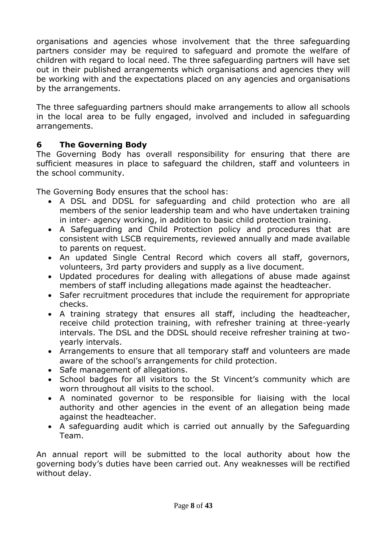organisations and agencies whose involvement that the three safeguarding partners consider may be required to safeguard and promote the welfare of children with regard to local need. The three safeguarding partners will have set out in their published arrangements which organisations and agencies they will be working with and the expectations placed on any agencies and organisations by the arrangements.

The three safeguarding partners should make arrangements to allow all schools in the local area to be fully engaged, involved and included in safeguarding arrangements.

# **6 The Governing Body**

The Governing Body has overall responsibility for ensuring that there are sufficient measures in place to safeguard the children, staff and volunteers in the school community.

The Governing Body ensures that the school has:

- A DSL and DDSL for safeguarding and child protection who are all members of the senior leadership team and who have undertaken training in inter- agency working, in addition to basic child protection training.
- A Safeguarding and Child Protection policy and procedures that are consistent with LSCB requirements, reviewed annually and made available to parents on request.
- An updated Single Central Record which covers all staff, governors, volunteers, 3rd party providers and supply as a live document.
- Updated procedures for dealing with allegations of abuse made against members of staff including allegations made against the headteacher.
- Safer recruitment procedures that include the requirement for appropriate checks.
- A training strategy that ensures all staff, including the headteacher, receive child protection training, with refresher training at three-yearly intervals. The DSL and the DDSL should receive refresher training at twoyearly intervals.
- Arrangements to ensure that all temporary staff and volunteers are made aware of the school's arrangements for child protection.
- Safe management of allegations.
- School badges for all visitors to the St Vincent's community which are worn throughout all visits to the school.
- A nominated governor to be responsible for liaising with the local authority and other agencies in the event of an allegation being made against the headteacher.
- A safeguarding audit which is carried out annually by the Safeguarding Team.

An annual report will be submitted to the local authority about how the governing body's duties have been carried out. Any weaknesses will be rectified without delay.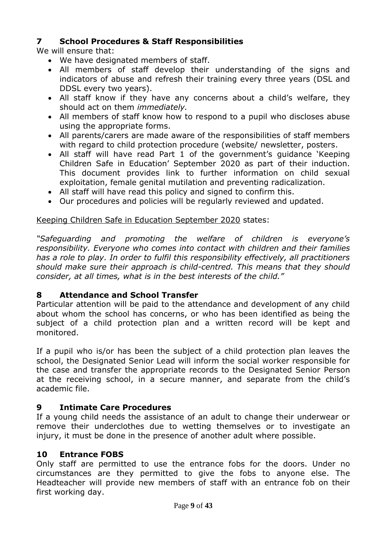## **7 School Procedures & Staff Responsibilities**

We will ensure that:

- We have designated members of staff.
- All members of staff develop their understanding of the signs and indicators of abuse and refresh their training every three years (DSL and DDSL every two years).
- All staff know if they have any concerns about a child's welfare, they should act on them *immediately.*
- All members of staff know how to respond to a pupil who discloses abuse using the appropriate forms.
- All parents/carers are made aware of the responsibilities of staff members with regard to child protection procedure (website/ newsletter, posters.
- All staff will have read Part 1 of the government's guidance 'Keeping Children Safe in Education' September 2020 as part of their induction. This document provides link to further information on child sexual exploitation, female genital mutilation and preventing radicalization.
- All staff will have read this policy and signed to confirm this.
- Our procedures and policies will be regularly reviewed and updated.

## Keeping Children Safe in Education September 2020 states:

*"Safeguarding and promoting the welfare of children is everyone's responsibility. Everyone who comes into contact with children and their families has a role to play. In order to fulfil this responsibility effectively, all practitioners should make sure their approach is child-centred. This means that they should consider, at all times, what is in the best interests of the child."*

## **8 Attendance and School Transfer**

Particular attention will be paid to the attendance and development of any child about whom the school has concerns, or who has been identified as being the subject of a child protection plan and a written record will be kept and monitored.

If a pupil who is/or has been the subject of a child protection plan leaves the school, the Designated Senior Lead will inform the social worker responsible for the case and transfer the appropriate records to the Designated Senior Person at the receiving school, in a secure manner, and separate from the child's academic file.

## **9 Intimate Care Procedures**

If a young child needs the assistance of an adult to change their underwear or remove their underclothes due to wetting themselves or to investigate an injury, it must be done in the presence of another adult where possible.

## **10 Entrance FOBS**

Only staff are permitted to use the entrance fobs for the doors. Under no circumstances are they permitted to give the fobs to anyone else. The Headteacher will provide new members of staff with an entrance fob on their first working day.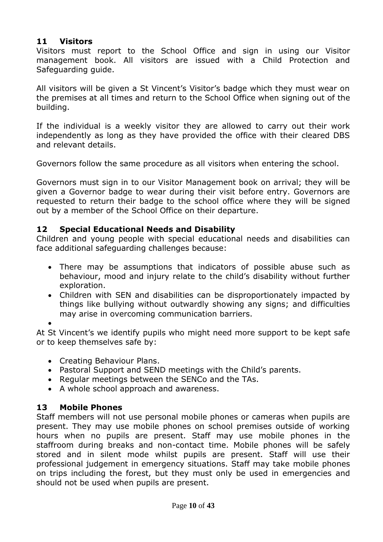#### **11 Visitors**

Visitors must report to the School Office and sign in using our Visitor management book. All visitors are issued with a Child Protection and Safeguarding guide.

All visitors will be given a St Vincent's Visitor's badge which they must wear on the premises at all times and return to the School Office when signing out of the building.

If the individual is a weekly visitor they are allowed to carry out their work independently as long as they have provided the office with their cleared DBS and relevant details.

Governors follow the same procedure as all visitors when entering the school.

Governors must sign in to our Visitor Management book on arrival; they will be given a Governor badge to wear during their visit before entry. Governors are requested to return their badge to the school office where they will be signed out by a member of the School Office on their departure.

#### **12 Special Educational Needs and Disability**

Children and young people with special educational needs and disabilities can face additional safeguarding challenges because:

- There may be assumptions that indicators of possible abuse such as behaviour, mood and injury relate to the child's disability without further exploration.
- Children with SEN and disabilities can be disproportionately impacted by things like bullying without outwardly showing any signs; and difficulties may arise in overcoming communication barriers.

 $\bullet$ 

At St Vincent's we identify pupils who might need more support to be kept safe or to keep themselves safe by:

- Creating Behaviour Plans.
- Pastoral Support and SEND meetings with the Child's parents.
- Regular meetings between the SENCo and the TAs.
- A whole school approach and awareness.

# **13 Mobile Phones**

Staff members will not use personal mobile phones or cameras when pupils are present. They may use mobile phones on school premises outside of working hours when no pupils are present. Staff may use mobile phones in the staffroom during breaks and non-contact time. Mobile phones will be safely stored and in silent mode whilst pupils are present. Staff will use their professional judgement in emergency situations. Staff may take mobile phones on trips including the forest, but they must only be used in emergencies and should not be used when pupils are present.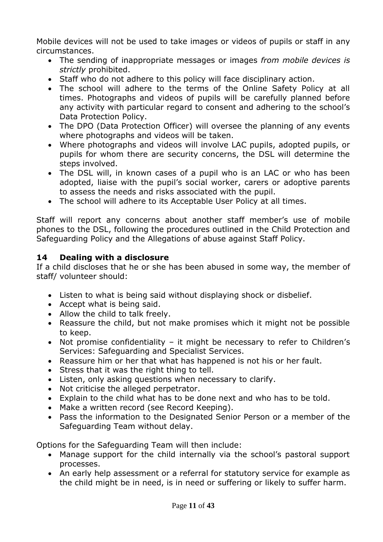Mobile devices will not be used to take images or videos of pupils or staff in any circumstances.

- The sending of inappropriate messages or images *from mobile devices is strictly* prohibited.
- Staff who do not adhere to this policy will face disciplinary action.
- The school will adhere to the terms of the Online Safety Policy at all times. Photographs and videos of pupils will be carefully planned before any activity with particular regard to consent and adhering to the school's Data Protection Policy.
- The DPO (Data Protection Officer) will oversee the planning of any events where photographs and videos will be taken.
- Where photographs and videos will involve LAC pupils, adopted pupils, or pupils for whom there are security concerns, the DSL will determine the steps involved.
- The DSL will, in known cases of a pupil who is an LAC or who has been adopted, liaise with the pupil's social worker, carers or adoptive parents to assess the needs and risks associated with the pupil.
- The school will adhere to its Acceptable User Policy at all times.

Staff will report any concerns about another staff member's use of mobile phones to the DSL, following the procedures outlined in the Child Protection and Safeguarding Policy and the Allegations of abuse against Staff Policy.

# **14 Dealing with a disclosure**

If a child discloses that he or she has been abused in some way, the member of staff/ volunteer should:

- Listen to what is being said without displaying shock or disbelief.
- Accept what is being said.
- Allow the child to talk freely.
- Reassure the child, but not make promises which it might not be possible to keep.
- Not promise confidentiality it might be necessary to refer to Children's Services: Safeguarding and Specialist Services.
- Reassure him or her that what has happened is not his or her fault.
- Stress that it was the right thing to tell.
- Listen, only asking questions when necessary to clarify.
- Not criticise the alleged perpetrator.
- Explain to the child what has to be done next and who has to be told.
- Make a written record (see Record Keeping).
- Pass the information to the Designated Senior Person or a member of the Safeguarding Team without delay.

Options for the Safeguarding Team will then include:

- Manage support for the child internally via the school's pastoral support processes.
- An early help assessment or a referral for statutory service for example as the child might be in need, is in need or suffering or likely to suffer harm.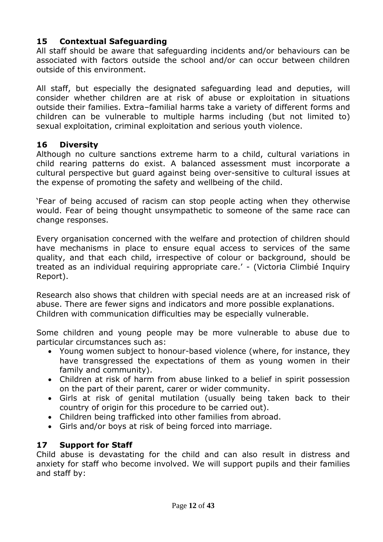# **15 Contextual Safeguarding**

All staff should be aware that safeguarding incidents and/or behaviours can be associated with factors outside the school and/or can occur between children outside of this environment.

All staff, but especially the designated safeguarding lead and deputies, will consider whether children are at risk of abuse or exploitation in situations outside their families. Extra–familial harms take a variety of different forms and children can be vulnerable to multiple harms including (but not limited to) sexual exploitation, criminal exploitation and serious youth violence.

## **16 Diversity**

Although no culture sanctions extreme harm to a child, cultural variations in child rearing patterns do exist. A balanced assessment must incorporate a cultural perspective but guard against being over-sensitive to cultural issues at the expense of promoting the safety and wellbeing of the child.

'Fear of being accused of racism can stop people acting when they otherwise would. Fear of being thought unsympathetic to someone of the same race can change responses.

Every organisation concerned with the welfare and protection of children should have mechanisms in place to ensure equal access to services of the same quality, and that each child, irrespective of colour or background, should be treated as an individual requiring appropriate care.' - (Victoria Climbié Inquiry Report).

Research also shows that children with special needs are at an increased risk of abuse. There are fewer signs and indicators and more possible explanations. Children with communication difficulties may be especially vulnerable.

Some children and young people may be more vulnerable to abuse due to particular circumstances such as:

- Young women subject to honour-based violence (where, for instance, they have transgressed the expectations of them as young women in their family and community).
- Children at risk of harm from abuse linked to a belief in spirit possession on the part of their parent, carer or wider community.
- Girls at risk of genital mutilation (usually being taken back to their country of origin for this procedure to be carried out).
- Children being trafficked into other families from abroad.
- Girls and/or boys at risk of being forced into marriage.

# **17 Support for Staff**

Child abuse is devastating for the child and can also result in distress and anxiety for staff who become involved. We will support pupils and their families and staff by: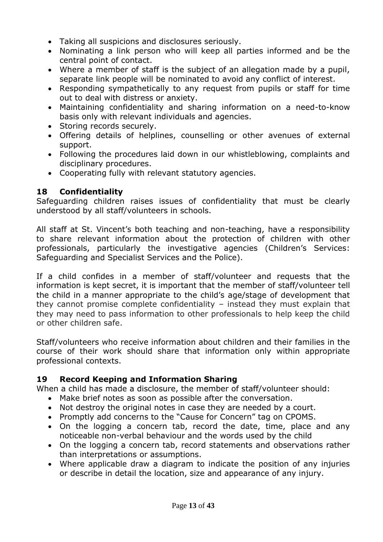- Taking all suspicions and disclosures seriously.
- Nominating a link person who will keep all parties informed and be the central point of contact.
- Where a member of staff is the subject of an allegation made by a pupil, separate link people will be nominated to avoid any conflict of interest.
- Responding sympathetically to any request from pupils or staff for time out to deal with distress or anxiety.
- Maintaining confidentiality and sharing information on a need-to-know basis only with relevant individuals and agencies.
- Storing records securely.
- Offering details of helplines, counselling or other avenues of external support.
- Following the procedures laid down in our whistleblowing, complaints and disciplinary procedures.
- Cooperating fully with relevant statutory agencies.

# **18 Confidentiality**

Safeguarding children raises issues of confidentiality that must be clearly understood by all staff/volunteers in schools.

All staff at St. Vincent's both teaching and non-teaching, have a responsibility to share relevant information about the protection of children with other professionals, particularly the investigative agencies (Children's Services: Safeguarding and Specialist Services and the Police).

If a child confides in a member of staff/volunteer and requests that the information is kept secret, it is important that the member of staff/volunteer tell the child in a manner appropriate to the child's age/stage of development that they cannot promise complete confidentiality – instead they must explain that they may need to pass information to other professionals to help keep the child or other children safe.

Staff/volunteers who receive information about children and their families in the course of their work should share that information only within appropriate professional contexts.

# **19 Record Keeping and Information Sharing**

When a child has made a disclosure, the member of staff/volunteer should:

- Make brief notes as soon as possible after the conversation.
- Not destroy the original notes in case they are needed by a court.
- Promptly add concerns to the "Cause for Concern" tag on CPOMS.
- On the logging a concern tab, record the date, time, place and any noticeable non-verbal behaviour and the words used by the child
- On the logging a concern tab, record statements and observations rather than interpretations or assumptions.
- Where applicable draw a diagram to indicate the position of any injuries or describe in detail the location, size and appearance of any injury.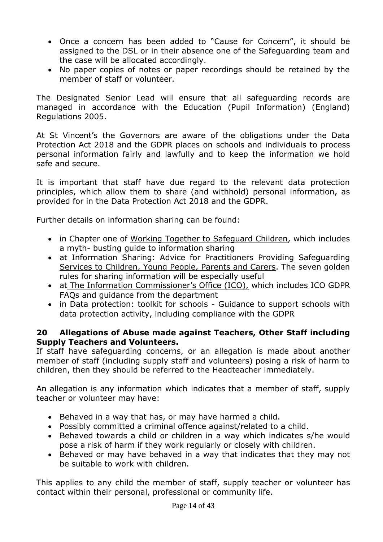- Once a concern has been added to "Cause for Concern", it should be assigned to the DSL or in their absence one of the Safeguarding team and the case will be allocated accordingly.
- No paper copies of notes or paper recordings should be retained by the member of staff or volunteer.

The Designated Senior Lead will ensure that all safeguarding records are managed in accordance with the Education (Pupil Information) (England) Regulations 2005.

At St Vincent's the Governors are aware of the obligations under the Data Protection Act 2018 and the GDPR places on schools and individuals to process personal information fairly and lawfully and to keep the information we hold safe and secure.

It is important that staff have due regard to the relevant data protection principles, which allow them to share (and withhold) personal information, as provided for in the Data Protection Act 2018 and the GDPR.

Further details on information sharing can be found:

- in Chapter one of Working Together to Safeguard Children, which includes a myth- busting guide to information sharing
- at Information Sharing: Advice for Practitioners Providing Safeguarding Services to Children, Young People, Parents and Carers. The seven golden rules for sharing information will be especially useful
- at The Information Commissioner's Office (ICO), which includes ICO GDPR FAQs and guidance from the department
- in Data protection: toolkit for schools Guidance to support schools with data protection activity, including compliance with the GDPR

#### **20 Allegations of Abuse made against Teachers, Other Staff including Supply Teachers and Volunteers.**

If staff have safeguarding concerns, or an allegation is made about another member of staff (including supply staff and volunteers) posing a risk of harm to children, then they should be referred to the Headteacher immediately.

An allegation is any information which indicates that a member of staff, supply teacher or volunteer may have:

- Behaved in a way that has, or may have harmed a child.
- Possibly committed a criminal offence against/related to a child.
- Behaved towards a child or children in a way which indicates s/he would pose a risk of harm if they work regularly or closely with children.
- Behaved or may have behaved in a way that indicates that they may not be suitable to work with children.

This applies to any child the member of staff, supply teacher or volunteer has contact within their personal, professional or community life.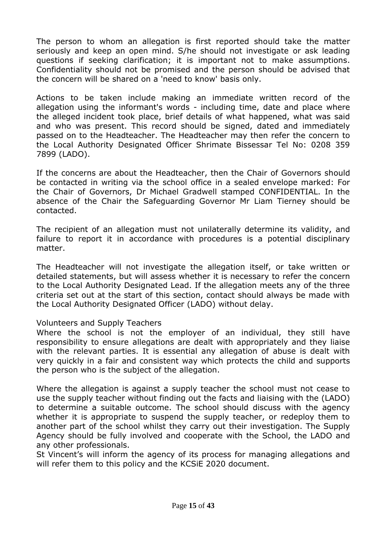The person to whom an allegation is first reported should take the matter seriously and keep an open mind. S/he should not investigate or ask leading questions if seeking clarification; it is important not to make assumptions. Confidentiality should not be promised and the person should be advised that the concern will be shared on a 'need to know' basis only.

Actions to be taken include making an immediate written record of the allegation using the informant's words - including time, date and place where the alleged incident took place, brief details of what happened, what was said and who was present. This record should be signed, dated and immediately passed on to the Headteacher. The Headteacher may then refer the concern to the Local Authority Designated Officer Shrimate Bissessar Tel No: 0208 359 7899 (LADO).

If the concerns are about the Headteacher, then the Chair of Governors should be contacted in writing via the school office in a sealed envelope marked: For the Chair of Governors, Dr Michael Gradwell stamped CONFIDENTIAL. In the absence of the Chair the Safeguarding Governor Mr Liam Tierney should be contacted.

The recipient of an allegation must not unilaterally determine its validity, and failure to report it in accordance with procedures is a potential disciplinary matter.

The Headteacher will not investigate the allegation itself, or take written or detailed statements, but will assess whether it is necessary to refer the concern to the Local Authority Designated Lead. If the allegation meets any of the three criteria set out at the start of this section, contact should always be made with the Local Authority Designated Officer (LADO) without delay.

#### Volunteers and Supply Teachers

Where the school is not the employer of an individual, they still have responsibility to ensure allegations are dealt with appropriately and they liaise with the relevant parties. It is essential any allegation of abuse is dealt with very quickly in a fair and consistent way which protects the child and supports the person who is the subject of the allegation.

Where the allegation is against a supply teacher the school must not cease to use the supply teacher without finding out the facts and liaising with the (LADO) to determine a suitable outcome. The school should discuss with the agency whether it is appropriate to suspend the supply teacher, or redeploy them to another part of the school whilst they carry out their investigation. The Supply Agency should be fully involved and cooperate with the School, the LADO and any other professionals.

St Vincent's will inform the agency of its process for managing allegations and will refer them to this policy and the KCSiE 2020 document.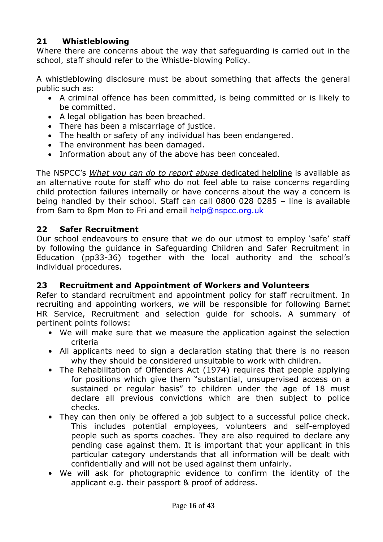# **21 Whistleblowing**

Where there are concerns about the way that safeguarding is carried out in the school, staff should refer to the Whistle-blowing Policy.

A whistleblowing disclosure must be about something that affects the general public such as:

- A criminal offence has been committed, is being committed or is likely to be committed.
- A legal obligation has been breached.
- There has been a miscarriage of justice.
- The health or safety of any individual has been endangered.
- The environment has been damaged.
- Information about any of the above has been concealed.

The NSPCC's *What you can do to report abuse* dedicated helpline is available as an alternative route for staff who do not feel able to raise concerns regarding child protection failures internally or have concerns about the way a concern is being handled by their school. Staff can call 0800 028 0285 – line is available from 8am to 8pm Mon to Fri and email [help@nspcc.org.uk](mailto:help@nspcc.org.uk)

## **22 Safer Recruitment**

Our school endeavours to ensure that we do our utmost to employ 'safe' staff by following the guidance in Safeguarding Children and Safer Recruitment in Education (pp33-36) together with the local authority and the school's individual procedures.

## **23 Recruitment and Appointment of Workers and Volunteers**

Refer to standard recruitment and appointment policy for staff recruitment. In recruiting and appointing workers, we will be responsible for following Barnet HR Service, Recruitment and selection guide for schools. A summary of pertinent points follows:

- We will make sure that we measure the application against the selection criteria
- All applicants need to sign a declaration stating that there is no reason why they should be considered unsuitable to work with children.
- The Rehabilitation of Offenders Act (1974) requires that people applying for positions which give them "substantial, unsupervised access on a sustained or regular basis" to children under the age of 18 must declare all previous convictions which are then subject to police checks.
- They can then only be offered a job subject to a successful police check. This includes potential employees, volunteers and self-employed people such as sports coaches. They are also required to declare any pending case against them. It is important that your applicant in this particular category understands that all information will be dealt with confidentially and will not be used against them unfairly.
- We will ask for photographic evidence to confirm the identity of the applicant e.g. their passport & proof of address.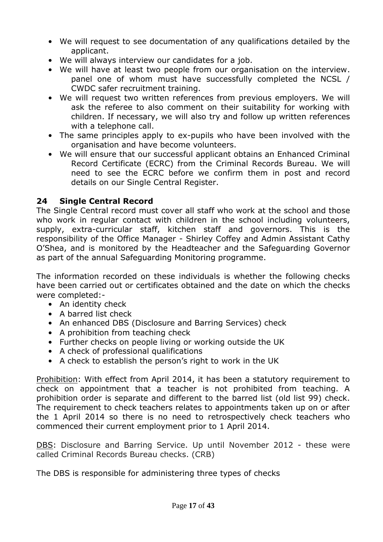- We will request to see documentation of any qualifications detailed by the applicant.
- We will always interview our candidates for a job.
- We will have at least two people from our organisation on the interview. panel one of whom must have successfully completed the NCSL / CWDC safer recruitment training.
- We will request two written references from previous employers. We will ask the referee to also comment on their suitability for working with children. If necessary, we will also try and follow up written references with a telephone call.
- The same principles apply to ex-pupils who have been involved with the organisation and have become volunteers.
- We will ensure that our successful applicant obtains an Enhanced Criminal Record Certificate (ECRC) from the Criminal Records Bureau. We will need to see the ECRC before we confirm them in post and record details on our Single Central Register.

# **24 Single Central Record**

The Single Central record must cover all staff who work at the school and those who work in regular contact with children in the school including volunteers, supply, extra-curricular staff, kitchen staff and governors. This is the responsibility of the Office Manager - Shirley Coffey and Admin Assistant Cathy O'Shea, and is monitored by the Headteacher and the Safeguarding Governor as part of the annual Safeguarding Monitoring programme.

The information recorded on these individuals is whether the following checks have been carried out or certificates obtained and the date on which the checks were completed:-

- An identity check
- A barred list check
- An enhanced DBS (Disclosure and Barring Services) check
- A prohibition from teaching check
- Further checks on people living or working outside the UK
- A check of professional qualifications
- A check to establish the person's right to work in the UK

Prohibition: With effect from April 2014, it has been a statutory requirement to check on appointment that a teacher is not prohibited from teaching. A prohibition order is separate and different to the barred list (old list 99) check. The requirement to check teachers relates to appointments taken up on or after the 1 April 2014 so there is no need to retrospectively check teachers who commenced their current employment prior to 1 April 2014.

DBS: Disclosure and Barring Service. Up until November 2012 - these were called Criminal Records Bureau checks. (CRB)

The DBS is responsible for administering three types of checks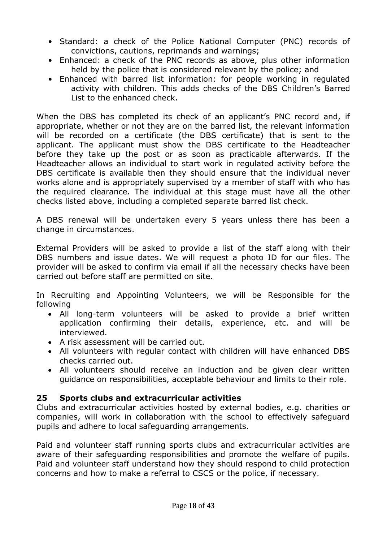- Standard: a check of the Police National Computer (PNC) records of convictions, cautions, reprimands and warnings;
- Enhanced: a check of the PNC records as above, plus other information held by the police that is considered relevant by the police; and
- Enhanced with barred list information: for people working in regulated activity with children. This adds checks of the DBS Children's Barred List to the enhanced check.

When the DBS has completed its check of an applicant's PNC record and, if appropriate, whether or not they are on the barred list, the relevant information will be recorded on a certificate (the DBS certificate) that is sent to the applicant. The applicant must show the DBS certificate to the Headteacher before they take up the post or as soon as practicable afterwards. If the Headteacher allows an individual to start work in regulated activity before the DBS certificate is available then they should ensure that the individual never works alone and is appropriately supervised by a member of staff with who has the required clearance. The individual at this stage must have all the other checks listed above, including a completed separate barred list check.

A DBS renewal will be undertaken every 5 years unless there has been a change in circumstances.

External Providers will be asked to provide a list of the staff along with their DBS numbers and issue dates. We will request a photo ID for our files. The provider will be asked to confirm via email if all the necessary checks have been carried out before staff are permitted on site.

In Recruiting and Appointing Volunteers, we will be Responsible for the following

- All long-term volunteers will be asked to provide a brief written application confirming their details, experience, etc. and will be interviewed.
- A risk assessment will be carried out.
- All volunteers with regular contact with children will have enhanced DBS checks carried out.
- All volunteers should receive an induction and be given clear written guidance on responsibilities, acceptable behaviour and limits to their role.

## **25 Sports clubs and extracurricular activities**

Clubs and extracurricular activities hosted by external bodies, e.g. charities or companies, will work in collaboration with the school to effectively safeguard pupils and adhere to local safeguarding arrangements.

Paid and volunteer staff running sports clubs and extracurricular activities are aware of their safeguarding responsibilities and promote the welfare of pupils. Paid and volunteer staff understand how they should respond to child protection concerns and how to make a referral to CSCS or the police, if necessary.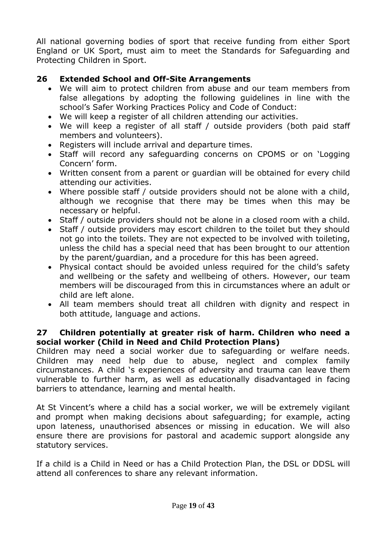All national governing bodies of sport that receive funding from either Sport England or UK Sport, must aim to meet the Standards for Safeguarding and Protecting Children in Sport.

# **26 Extended School and Off-Site Arrangements**

- We will aim to protect children from abuse and our team members from false allegations by adopting the following guidelines in line with the school's Safer Working Practices Policy and Code of Conduct:
- We will keep a register of all children attending our activities.
- We will keep a register of all staff / outside providers (both paid staff members and volunteers).
- Registers will include arrival and departure times.
- Staff will record any safeguarding concerns on CPOMS or on 'Logging Concern' form.
- Written consent from a parent or guardian will be obtained for every child attending our activities.
- Where possible staff / outside providers should not be alone with a child, although we recognise that there may be times when this may be necessary or helpful.
- Staff / outside providers should not be alone in a closed room with a child.
- Staff / outside providers may escort children to the toilet but they should not go into the toilets. They are not expected to be involved with toileting, unless the child has a special need that has been brought to our attention by the parent/guardian, and a procedure for this has been agreed.
- Physical contact should be avoided unless required for the child's safety and wellbeing or the safety and wellbeing of others. However, our team members will be discouraged from this in circumstances where an adult or child are left alone.
- All team members should treat all children with dignity and respect in both attitude, language and actions.

## **27 Children potentially at greater risk of harm. Children who need a social worker (Child in Need and Child Protection Plans)**

Children may need a social worker due to safeguarding or welfare needs. Children may need help due to abuse, neglect and complex family circumstances. A child 's experiences of adversity and trauma can leave them vulnerable to further harm, as well as educationally disadvantaged in facing barriers to attendance, learning and mental health.

At St Vincent's where a child has a social worker, we will be extremely vigilant and prompt when making decisions about safeguarding; for example, acting upon lateness, unauthorised absences or missing in education. We will also ensure there are provisions for pastoral and academic support alongside any statutory services.

If a child is a Child in Need or has a Child Protection Plan, the DSL or DDSL will attend all conferences to share any relevant information.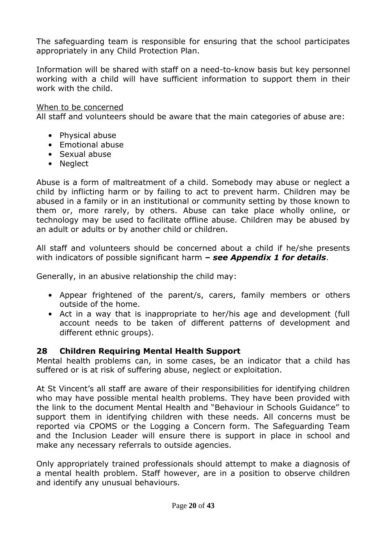The safeguarding team is responsible for ensuring that the school participates appropriately in any Child Protection Plan.

Information will be shared with staff on a need-to-know basis but key personnel working with a child will have sufficient information to support them in their work with the child.

#### When to be concerned

All staff and volunteers should be aware that the main categories of abuse are:

- Physical abuse
- Emotional abuse
- Sexual abuse
- Neglect

Abuse is a form of maltreatment of a child. Somebody may abuse or neglect a child by inflicting harm or by failing to act to prevent harm. Children may be abused in a family or in an institutional or community setting by those known to them or, more rarely, by others. Abuse can take place wholly online, or technology may be used to facilitate offline abuse. Children may be abused by an adult or adults or by another child or children.

All staff and volunteers should be concerned about a child if he/she presents with indicators of possible significant harm *– see Appendix 1 for details*.

Generally, in an abusive relationship the child may:

- Appear frightened of the parent/s, carers, family members or others outside of the home.
- Act in a way that is inappropriate to her/his age and development (full account needs to be taken of different patterns of development and different ethnic groups).

#### **28 Children Requiring Mental Health Support**

Mental health problems can, in some cases, be an indicator that a child has suffered or is at risk of suffering abuse, neglect or exploitation.

At St Vincent's all staff are aware of their responsibilities for identifying children who may have possible mental health problems. They have been provided with the link to the document Mental Health and "Behaviour in Schools Guidance" to support them in identifying children with these needs. All concerns must be reported via CPOMS or the Logging a Concern form. The Safeguarding Team and the Inclusion Leader will ensure there is support in place in school and make any necessary referrals to outside agencies.

Only appropriately trained professionals should attempt to make a diagnosis of a mental health problem. Staff however, are in a position to observe children and identify any unusual behaviours.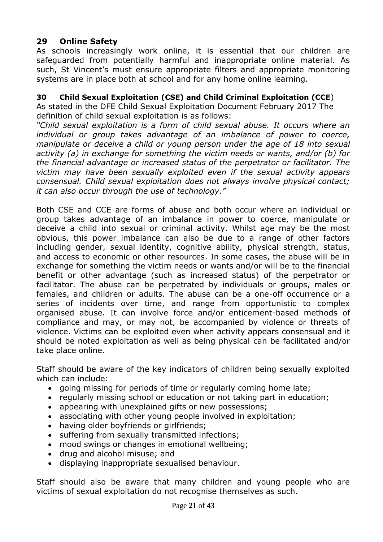# **29 Online Safety**

As schools increasingly work online, it is essential that our children are safeguarded from potentially harmful and inappropriate online material. As such, St Vincent's must ensure appropriate filters and appropriate monitoring systems are in place both at school and for any home online learning.

## **30 Child Sexual Exploitation (CSE) and Child Criminal Exploitation (CCE**)

As stated in the DFE Child Sexual Exploitation Document February 2017 The definition of child sexual exploitation is as follows:

*"Child sexual exploitation is a form of child sexual abuse. It occurs where an individual or group takes advantage of an imbalance of power to coerce, manipulate or deceive a child or young person under the age of 18 into sexual activity (a) in exchange for something the victim needs or wants, and/or (b) for the financial advantage or increased status of the perpetrator or facilitator. The victim may have been sexually exploited even if the sexual activity appears consensual. Child sexual exploitation does not always involve physical contact; it can also occur through the use of technology."*

Both CSE and CCE are forms of abuse and both occur where an individual or group takes advantage of an imbalance in power to coerce, manipulate or deceive a child into sexual or criminal activity. Whilst age may be the most obvious, this power imbalance can also be due to a range of other factors including gender, sexual identity, cognitive ability, physical strength, status, and access to economic or other resources. In some cases, the abuse will be in exchange for something the victim needs or wants and/or will be to the financial benefit or other advantage (such as increased status) of the perpetrator or facilitator. The abuse can be perpetrated by individuals or groups, males or females, and children or adults. The abuse can be a one-off occurrence or a series of incidents over time, and range from opportunistic to complex organised abuse. It can involve force and/or enticement-based methods of compliance and may, or may not, be accompanied by violence or threats of violence. Victims can be exploited even when activity appears consensual and it should be noted exploitation as well as being physical can be facilitated and/or take place online.

Staff should be aware of the key indicators of children being sexually exploited which can include:

- going missing for periods of time or regularly coming home late;
- regularly missing school or education or not taking part in education;
- appearing with unexplained gifts or new possessions;
- associating with other young people involved in exploitation;
- having older boyfriends or girlfriends;
- suffering from sexually transmitted infections;
- mood swings or changes in emotional wellbeing;
- drug and alcohol misuse; and
- displaying inappropriate sexualised behaviour.

Staff should also be aware that many children and young people who are victims of sexual exploitation do not recognise themselves as such.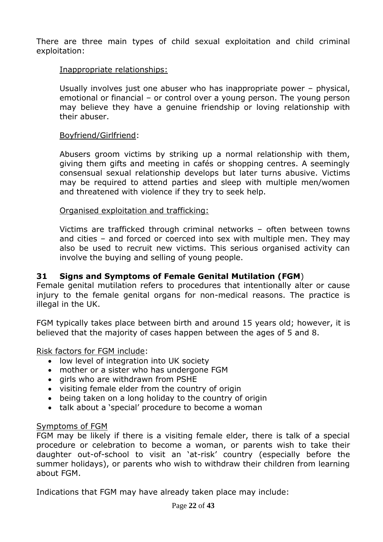There are three main types of child sexual exploitation and child criminal exploitation:

#### Inappropriate relationships:

Usually involves just one abuser who has inappropriate power – physical, emotional or financial – or control over a young person. The young person may believe they have a genuine friendship or loving relationship with their abuser.

#### Boyfriend/Girlfriend:

Abusers groom victims by striking up a normal relationship with them, giving them gifts and meeting in cafés or shopping centres. A seemingly consensual sexual relationship develops but later turns abusive. Victims may be required to attend parties and sleep with multiple men/women and threatened with violence if they try to seek help.

#### Organised exploitation and trafficking:

Victims are trafficked through criminal networks – often between towns and cities – and forced or coerced into sex with multiple men. They may also be used to recruit new victims. This serious organised activity can involve the buying and selling of young people.

#### **31 Signs and Symptoms of Female Genital Mutilation (FGM**)

Female genital mutilation refers to procedures that intentionally alter or cause injury to the female genital organs for non-medical reasons. The practice is illegal in the UK.

FGM typically takes place between birth and around 15 years old; however, it is believed that the majority of cases happen between the ages of 5 and 8.

Risk factors for FGM include:

- low level of integration into UK society
- mother or a sister who has undergone FGM
- airls who are withdrawn from PSHE
- visiting female elder from the country of origin
- being taken on a long holiday to the country of origin
- talk about a 'special' procedure to become a woman

#### Symptoms of FGM

FGM may be likely if there is a visiting female elder, there is talk of a special procedure or celebration to become a woman, or parents wish to take their daughter out-of-school to visit an 'at-risk' country (especially before the summer holidays), or parents who wish to withdraw their children from learning about FGM.

Indications that FGM may have already taken place may include: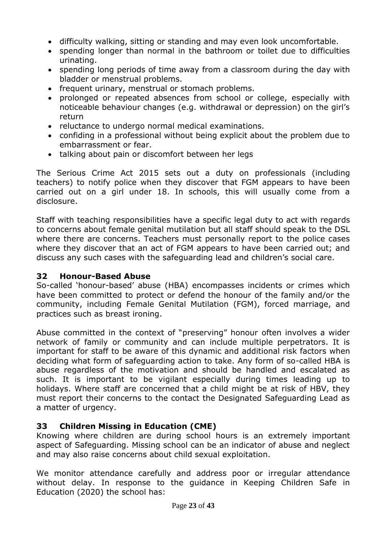- difficulty walking, sitting or standing and may even look uncomfortable.
- spending longer than normal in the bathroom or toilet due to difficulties urinating.
- spending long periods of time away from a classroom during the day with bladder or menstrual problems.
- frequent urinary, menstrual or stomach problems.
- prolonged or repeated absences from school or college, especially with noticeable behaviour changes (e.g. withdrawal or depression) on the girl's return
- reluctance to undergo normal medical examinations.
- confiding in a professional without being explicit about the problem due to embarrassment or fear.
- talking about pain or discomfort between her legs

The Serious Crime Act 2015 sets out a duty on professionals (including teachers) to notify police when they discover that FGM appears to have been carried out on a girl under 18. In schools, this will usually come from a disclosure.

Staff with teaching responsibilities have a specific legal duty to act with regards to concerns about female genital mutilation but all staff should speak to the DSL where there are concerns. Teachers must personally report to the police cases where they discover that an act of FGM appears to have been carried out; and discuss any such cases with the safeguarding lead and children's social care.

## **32 Honour-Based Abuse**

So-called 'honour-based' abuse (HBA) encompasses incidents or crimes which have been committed to protect or defend the honour of the family and/or the community, including Female Genital Mutilation (FGM), forced marriage, and practices such as breast ironing.

Abuse committed in the context of "preserving" honour often involves a wider network of family or community and can include multiple perpetrators. It is important for staff to be aware of this dynamic and additional risk factors when deciding what form of safeguarding action to take. Any form of so-called HBA is abuse regardless of the motivation and should be handled and escalated as such. It is important to be vigilant especially during times leading up to holidays. Where staff are concerned that a child might be at risk of HBV, they must report their concerns to the contact the Designated Safeguarding Lead as a matter of urgency.

## **33 Children Missing in Education (CME)**

Knowing where children are during school hours is an extremely important aspect of Safeguarding. Missing school can be an indicator of abuse and neglect and may also raise concerns about child sexual exploitation.

We monitor attendance carefully and address poor or irregular attendance without delay. In response to the guidance in Keeping Children Safe in Education (2020) the school has: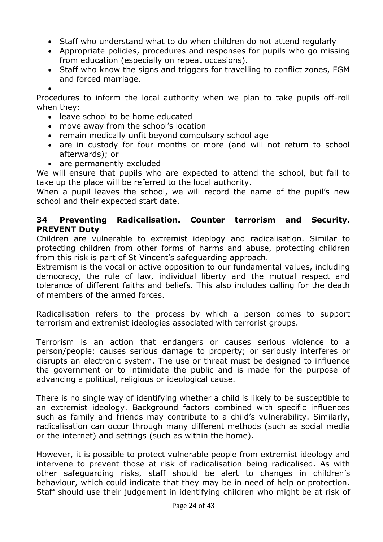- Staff who understand what to do when children do not attend regularly
- Appropriate policies, procedures and responses for pupils who go missing from education (especially on repeat occasions).
- Staff who know the signs and triggers for travelling to conflict zones, FGM and forced marriage.

 $\bullet$ 

Procedures to inform the local authority when we plan to take pupils off-roll when they:

- leave school to be home educated
- move away from the school's location
- remain medically unfit beyond compulsory school age
- are in custody for four months or more (and will not return to school afterwards); or
- are permanently excluded

We will ensure that pupils who are expected to attend the school, but fail to take up the place will be referred to the local authority.

When a pupil leaves the school, we will record the name of the pupil's new school and their expected start date.

# **34 Preventing Radicalisation. Counter terrorism and Security. PREVENT Duty**

Children are vulnerable to extremist ideology and radicalisation. Similar to protecting children from other forms of harms and abuse, protecting children from this risk is part of St Vincent's safeguarding approach.

Extremism is the vocal or active opposition to our fundamental values, including democracy, the rule of law, individual liberty and the mutual respect and tolerance of different faiths and beliefs. This also includes calling for the death of members of the armed forces.

Radicalisation refers to the process by which a person comes to support terrorism and extremist ideologies associated with terrorist groups.

Terrorism is an action that endangers or causes serious violence to a person/people; causes serious damage to property; or seriously interferes or disrupts an electronic system. The use or threat must be designed to influence the government or to intimidate the public and is made for the purpose of advancing a political, religious or ideological cause.

There is no single way of identifying whether a child is likely to be susceptible to an extremist ideology. Background factors combined with specific influences such as family and friends may contribute to a child's vulnerability. Similarly, radicalisation can occur through many different methods (such as social media or the internet) and settings (such as within the home).

However, it is possible to protect vulnerable people from extremist ideology and intervene to prevent those at risk of radicalisation being radicalised. As with other safeguarding risks, staff should be alert to changes in children's behaviour, which could indicate that they may be in need of help or protection. Staff should use their judgement in identifying children who might be at risk of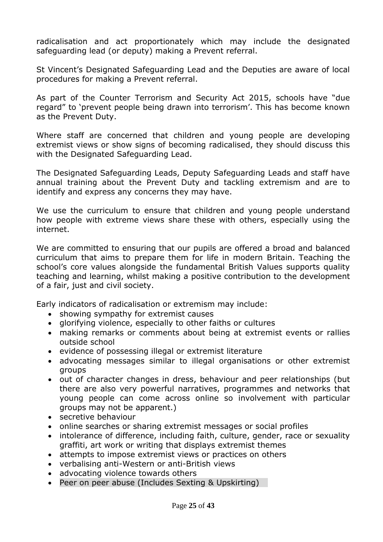radicalisation and act proportionately which may include the designated safeguarding lead (or deputy) making a Prevent referral.

St Vincent's Designated Safeguarding Lead and the Deputies are aware of local procedures for making a Prevent referral.

As part of the Counter Terrorism and Security Act 2015, schools have "due regard" to 'prevent people being drawn into terrorism'. This has become known as the Prevent Duty.

Where staff are concerned that children and young people are developing extremist views or show signs of becoming radicalised, they should discuss this with the Designated Safeguarding Lead.

The Designated Safeguarding Leads, Deputy Safeguarding Leads and staff have annual training about the Prevent Duty and tackling extremism and are to identify and express any concerns they may have.

We use the curriculum to ensure that children and young people understand how people with extreme views share these with others, especially using the internet.

We are committed to ensuring that our pupils are offered a broad and balanced curriculum that aims to prepare them for life in modern Britain. Teaching the school's core values alongside the fundamental British Values supports quality teaching and learning, whilst making a positive contribution to the development of a fair, just and civil society.

Early indicators of radicalisation or extremism may include:

- showing sympathy for extremist causes
- glorifying violence, especially to other faiths or cultures
- making remarks or comments about being at extremist events or rallies outside school
- evidence of possessing illegal or extremist literature
- advocating messages similar to illegal organisations or other extremist groups
- out of character changes in dress, behaviour and peer relationships (but there are also very powerful narratives, programmes and networks that young people can come across online so involvement with particular groups may not be apparent.)
- secretive behaviour
- online searches or sharing extremist messages or social profiles
- intolerance of difference, including faith, culture, gender, race or sexuality graffiti, art work or writing that displays extremist themes
- attempts to impose extremist views or practices on others
- verbalising anti-Western or anti-British views
- advocating violence towards others
- Peer on peer abuse (Includes Sexting & Upskirting)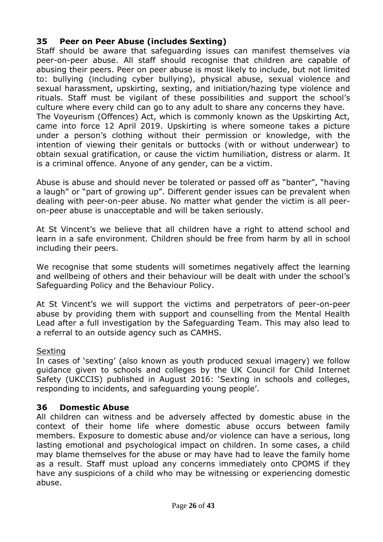# **35 Peer on Peer Abuse (includes Sexting)**

Staff should be aware that safeguarding issues can manifest themselves via peer-on-peer abuse. All staff should recognise that children are capable of abusing their peers. Peer on peer abuse is most likely to include, but not limited to: bullying (including cyber bullying), physical abuse, sexual violence and sexual harassment, upskirting, sexting, and initiation/hazing type violence and rituals. Staff must be vigilant of these possibilities and support the school's culture where every child can go to any adult to share any concerns they have. The Voyeurism (Offences) Act, which is commonly known as the Upskirting Act, came into force 12 April 2019. Upskirting is where someone takes a picture under a person's clothing without their permission or knowledge, with the intention of viewing their genitals or buttocks (with or without underwear) to obtain sexual gratification, or cause the victim humiliation, distress or alarm. It is a criminal offence. Anyone of any gender, can be a victim.

Abuse is abuse and should never be tolerated or passed off as "banter", "having a laugh" or "part of growing up". Different gender issues can be prevalent when dealing with peer-on-peer abuse. No matter what gender the victim is all peeron-peer abuse is unacceptable and will be taken seriously.

At St Vincent's we believe that all children have a right to attend school and learn in a safe environment. Children should be free from harm by all in school including their peers.

We recognise that some students will sometimes negatively affect the learning and wellbeing of others and their behaviour will be dealt with under the school's Safeguarding Policy and the Behaviour Policy.

At St Vincent's we will support the victims and perpetrators of peer-on-peer abuse by providing them with support and counselling from the Mental Health Lead after a full investigation by the Safeguarding Team. This may also lead to a referral to an outside agency such as CAMHS.

#### Sexting

In cases of 'sexting' (also known as youth produced sexual imagery) we follow guidance given to schools and colleges by the UK Council for Child Internet Safety (UKCCIS) published in August 2016: 'Sexting in schools and colleges, responding to incidents, and safeguarding young people'.

## **36 Domestic Abuse**

All children can witness and be adversely affected by domestic abuse in the context of their home life where domestic abuse occurs between family members. Exposure to domestic abuse and/or violence can have a serious, long lasting emotional and psychological impact on children. In some cases, a child may blame themselves for the abuse or may have had to leave the family home as a result. Staff must upload any concerns immediately onto CPOMS if they have any suspicions of a child who may be witnessing or experiencing domestic abuse.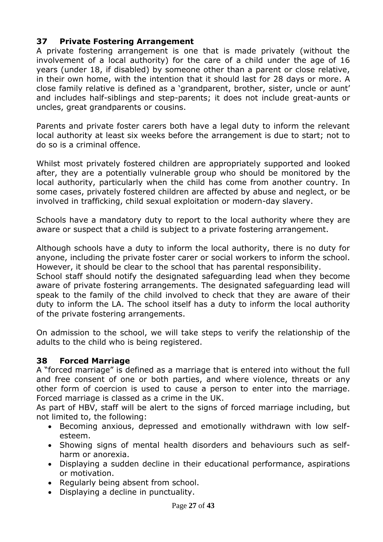# **37 Private Fostering Arrangement**

A private fostering arrangement is one that is made privately (without the involvement of a local authority) for the care of a child under the age of 16 years (under 18, if disabled) by someone other than a parent or close relative, in their own home, with the intention that it should last for 28 days or more. A close family relative is defined as a 'grandparent, brother, sister, uncle or aunt' and includes half-siblings and step-parents; it does not include great-aunts or uncles, great grandparents or cousins.

Parents and private foster carers both have a legal duty to inform the relevant local authority at least six weeks before the arrangement is due to start; not to do so is a criminal offence.

Whilst most privately fostered children are appropriately supported and looked after, they are a potentially vulnerable group who should be monitored by the local authority, particularly when the child has come from another country. In some cases, privately fostered children are affected by abuse and neglect, or be involved in trafficking, child sexual exploitation or modern-day slavery.

Schools have a mandatory duty to report to the local authority where they are aware or suspect that a child is subject to a private fostering arrangement.

Although schools have a duty to inform the local authority, there is no duty for anyone, including the private foster carer or social workers to inform the school. However, it should be clear to the school that has parental responsibility.

School staff should notify the designated safeguarding lead when they become aware of private fostering arrangements. The designated safeguarding lead will speak to the family of the child involved to check that they are aware of their duty to inform the LA. The school itself has a duty to inform the local authority of the private fostering arrangements.

On admission to the school, we will take steps to verify the relationship of the adults to the child who is being registered.

## **38 Forced Marriage**

A "forced marriage" is defined as a marriage that is entered into without the full and free consent of one or both parties, and where violence, threats or any other form of coercion is used to cause a person to enter into the marriage. Forced marriage is classed as a crime in the UK.

As part of HBV, staff will be alert to the signs of forced marriage including, but not limited to, the following:

- Becoming anxious, depressed and emotionally withdrawn with low selfesteem.
- Showing signs of mental health disorders and behaviours such as selfharm or anorexia.
- Displaying a sudden decline in their educational performance, aspirations or motivation.
- Regularly being absent from school.
- Displaying a decline in punctuality.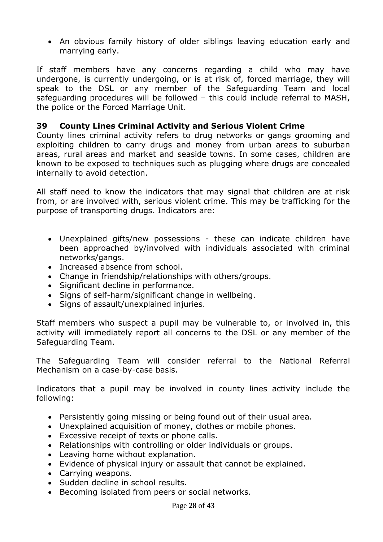An obvious family history of older siblings leaving education early and marrying early.

If staff members have any concerns regarding a child who may have undergone, is currently undergoing, or is at risk of, forced marriage, they will speak to the DSL or any member of the Safeguarding Team and local safeguarding procedures will be followed – this could include referral to MASH, the police or the Forced Marriage Unit.

## **39 County Lines Criminal Activity and Serious Violent Crime**

County lines criminal activity refers to drug networks or gangs grooming and exploiting children to carry drugs and money from urban areas to suburban areas, rural areas and market and seaside towns. In some cases, children are known to be exposed to techniques such as plugging where drugs are concealed internally to avoid detection.

All staff need to know the indicators that may signal that children are at risk from, or are involved with, serious violent crime. This may be trafficking for the purpose of transporting drugs. Indicators are:

- Unexplained gifts/new possessions these can indicate children have been approached by/involved with individuals associated with criminal networks/gangs.
- Increased absence from school.
- Change in friendship/relationships with others/groups.
- Significant decline in performance.
- Signs of self-harm/significant change in wellbeing.
- Signs of assault/unexplained injuries.

Staff members who suspect a pupil may be vulnerable to, or involved in, this activity will immediately report all concerns to the DSL or any member of the Safeguarding Team.

The Safeguarding Team will consider referral to the National Referral Mechanism on a case-by-case basis.

Indicators that a pupil may be involved in county lines activity include the following:

- Persistently going missing or being found out of their usual area.
- Unexplained acquisition of money, clothes or mobile phones.
- Excessive receipt of texts or phone calls.
- Relationships with controlling or older individuals or groups.
- Leaving home without explanation.
- Evidence of physical injury or assault that cannot be explained.
- Carrying weapons.
- Sudden decline in school results.
- Becoming isolated from peers or social networks.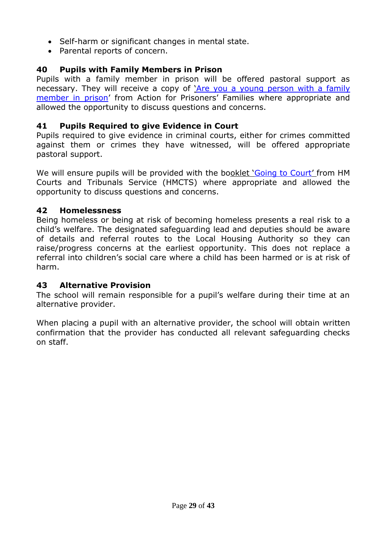- Self-harm or significant changes in mental state.
- Parental reports of concern.

# **40 Pupils with Family Members in Prison**

Pupils with a family member in prison will be offered pastoral support as necessary. They will receive a copy of '[Are you a young person with a family](https://www.nicco.org.uk/directory-of-resources)  [member in prison](https://www.nicco.org.uk/directory-of-resources)' from Action for Prisoners' Families where appropriate and allowed the opportunity to discuss questions and concerns.

# **41 Pupils Required to give Evidence in Court**

Pupils required to give evidence in criminal courts, either for crimes committed against them or crimes they have witnessed, will be offered appropriate pastoral support.

We will ensure pupils will be provided with the booklet '[Going to Court](https://www.gov.uk/government/publications/young-witness-booklet-for-5-to-11-year-olds)' from HM Courts and Tribunals Service (HMCTS) where appropriate and allowed the opportunity to discuss questions and concerns.

# **42 Homelessness**

Being homeless or being at risk of becoming homeless presents a real risk to a child's welfare. The designated safeguarding lead and deputies should be aware of details and referral routes to the Local Housing Authority so they can raise/progress concerns at the earliest opportunity. This does not replace a referral into children's social care where a child has been harmed or is at risk of harm.

## **43 Alternative Provision**

The school will remain responsible for a pupil's welfare during their time at an alternative provider.

When placing a pupil with an alternative provider, the school will obtain written confirmation that the provider has conducted all relevant safeguarding checks on staff.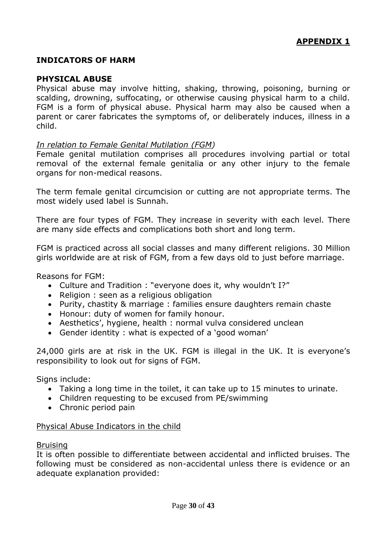#### **INDICATORS OF HARM**

#### **PHYSICAL ABUSE**

Physical abuse may involve hitting, shaking, throwing, poisoning, burning or scalding, drowning, suffocating, or otherwise causing physical harm to a child. FGM is a form of physical abuse. Physical harm may also be caused when a parent or carer fabricates the symptoms of, or deliberately induces, illness in a child.

#### *In relation to Female Genital Mutilation (FGM)*

Female genital mutilation comprises all procedures involving partial or total removal of the external female genitalia or any other injury to the female organs for non-medical reasons.

The term female genital circumcision or cutting are not appropriate terms. The most widely used label is Sunnah.

There are four types of FGM. They increase in severity with each level. There are many side effects and complications both short and long term.

FGM is practiced across all social classes and many different religions. 30 Million girls worldwide are at risk of FGM, from a few days old to just before marriage.

Reasons for FGM:

- Culture and Tradition : "everyone does it, why wouldn't I?"
- Religion : seen as a religious obligation
- Purity, chastity & marriage : families ensure daughters remain chaste
- Honour: duty of women for family honour.
- Aesthetics', hygiene, health : normal vulva considered unclean
- Gender identity : what is expected of a 'good woman'

24,000 girls are at risk in the UK. FGM is illegal in the UK. It is everyone's responsibility to look out for signs of FGM.

Signs include:

- Taking a long time in the toilet, it can take up to 15 minutes to urinate.
- Children requesting to be excused from PE/swimming
- Chronic period pain

#### Physical Abuse Indicators in the child

#### Bruising

It is often possible to differentiate between accidental and inflicted bruises. The following must be considered as non-accidental unless there is evidence or an adequate explanation provided: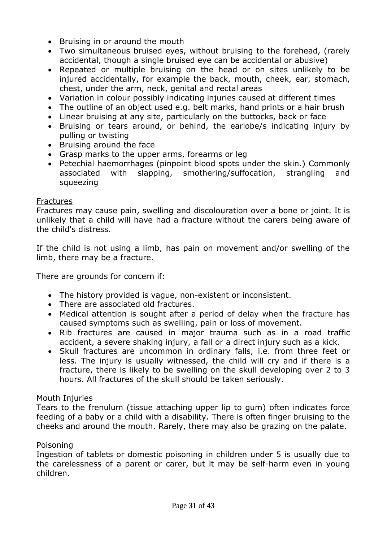- Bruising in or around the mouth
- Two simultaneous bruised eyes, without bruising to the forehead, (rarely accidental, though a single bruised eye can be accidental or abusive)
- Repeated or multiple bruising on the head or on sites unlikely to be injured accidentally, for example the back, mouth, cheek, ear, stomach, chest, under the arm, neck, genital and rectal areas
- Variation in colour possibly indicating injuries caused at different times
- The outline of an object used e.g. belt marks, hand prints or a hair brush
- Linear bruising at any site, particularly on the buttocks, back or face
- Bruising or tears around, or behind, the earlobe/s indicating injury by pulling or twisting
- Bruising around the face
- Grasp marks to the upper arms, forearms or leg
- Petechial haemorrhages (pinpoint blood spots under the skin.) Commonly associated with slapping, smothering/suffocation, strangling and squeezing

#### **Fractures**

Fractures may cause pain, swelling and discolouration over a bone or joint. It is unlikely that a child will have had a fracture without the carers being aware of the child's distress.

If the child is not using a limb, has pain on movement and/or swelling of the limb, there may be a fracture.

There are grounds for concern if:

- The history provided is vague, non-existent or inconsistent.
- There are associated old fractures.
- Medical attention is sought after a period of delay when the fracture has caused symptoms such as swelling, pain or loss of movement.
- Rib fractures are caused in major trauma such as in a road traffic accident, a severe shaking injury, a fall or a direct injury such as a kick.
- Skull fractures are uncommon in ordinary falls, i.e. from three feet or less. The injury is usually witnessed, the child will cry and if there is a fracture, there is likely to be swelling on the skull developing over 2 to 3 hours. All fractures of the skull should be taken seriously.

#### Mouth Injuries

Tears to the frenulum (tissue attaching upper lip to gum) often indicates force feeding of a baby or a child with a disability. There is often finger bruising to the cheeks and around the mouth. Rarely, there may also be grazing on the palate.

#### Poisoning

Ingestion of tablets or domestic poisoning in children under 5 is usually due to the carelessness of a parent or carer, but it may be self-harm even in young children.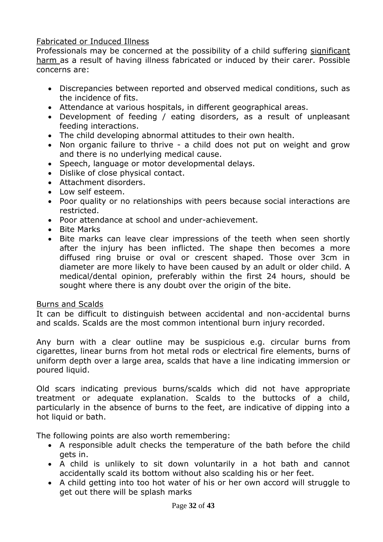## [Fabricated or Induced Illness](http://www.proceduresonline.com/herts_scb/chapters/p_fab_ill.html)

Professionals may be concerned at the possibility of a child suffering [significant](http://www.proceduresonline.com/herts_scb/keywords/significant_harm.html) [harm a](http://www.proceduresonline.com/herts_scb/keywords/significant_harm.html)s a result of having illness fabricated or induced by their carer. Possible concerns are:

- Discrepancies between reported and observed medical conditions, such as the incidence of fits.
- Attendance at various hospitals, in different geographical areas.
- Development of feeding / eating disorders, as a result of unpleasant feeding interactions.
- The child developing abnormal attitudes to their own health.
- Non organic failure to thrive a child does not put on weight and grow and there is no underlying medical cause.
- Speech, language or motor developmental delays.
- Dislike of close physical contact.
- Attachment disorders.
- Low self esteem.
- Poor quality or no relationships with peers because social interactions are restricted.
- Poor attendance at school and under-achievement.
- Bite Marks
- Bite marks can leave clear impressions of the teeth when seen shortly after the injury has been inflicted. The shape then becomes a more diffused ring bruise or oval or crescent shaped. Those over 3cm in diameter are more likely to have been caused by an adult or older child. A medical/dental opinion, preferably within the first 24 hours, should be sought where there is any doubt over the origin of the bite.

## Burns and Scalds

It can be difficult to distinguish between accidental and non-accidental burns and scalds. Scalds are the most common intentional burn injury recorded.

Any burn with a clear outline may be suspicious e.g. circular burns from cigarettes, linear burns from hot metal rods or electrical fire elements, burns of uniform depth over a large area, scalds that have a line indicating immersion or poured liquid.

Old scars indicating previous burns/scalds which did not have appropriate treatment or adequate explanation. Scalds to the buttocks of a child, particularly in the absence of burns to the feet, are indicative of dipping into a hot liquid or bath.

The following points are also worth remembering:

- A responsible adult checks the temperature of the bath before the child gets in.
- A child is unlikely to sit down voluntarily in a hot bath and cannot accidentally scald its bottom without also scalding his or her feet.
- A child getting into too hot water of his or her own accord will struggle to get out there will be splash marks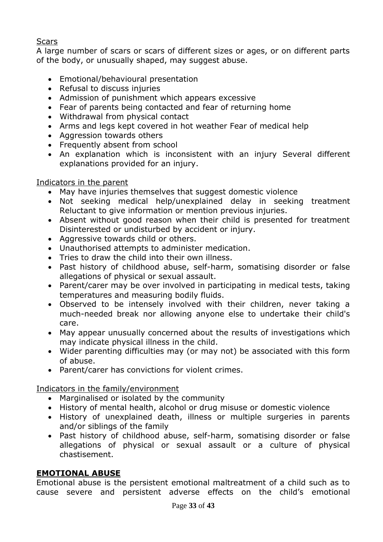## **Scars**

A large number of scars or scars of different sizes or ages, or on different parts of the body, or unusually shaped, may suggest abuse.

- Emotional/behavioural presentation
- Refusal to discuss injuries
- Admission of punishment which appears excessive
- Fear of parents being contacted and fear of returning home
- Withdrawal from physical contact
- Arms and legs kept covered in hot weather Fear of medical help
- Aggression towards others
- Frequently absent from school
- An explanation which is inconsistent with an injury Several different explanations provided for an injury.

## Indicators in the parent

- May have injuries themselves that suggest domestic violence
- Not seeking medical help/unexplained delay in seeking treatment Reluctant to give information or mention previous injuries.
- Absent without good reason when their child is presented for treatment Disinterested or undisturbed by accident or injury.
- Aggressive towards child or others.
- Unauthorised attempts to administer medication.
- Tries to draw the child into their own illness.
- Past history of childhood abuse, self-harm, somatising disorder or false allegations of physical or sexual assault.
- Parent/carer may be over involved in participating in medical tests, taking temperatures and measuring bodily fluids.
- Observed to be intensely involved with their children, never taking a much-needed break nor allowing anyone else to undertake their child's care.
- May appear unusually concerned about the results of investigations which may indicate physical illness in the child.
- Wider parenting difficulties may (or may not) be associated with this form of abuse.
- Parent/carer has convictions for violent crimes.

# Indicators in the family/environment

- Marginalised or isolated by the community
- History of mental health, alcohol or drug misuse or domestic violence
- History of unexplained death, illness or multiple surgeries in parents and/or siblings of the family
- Past history of childhood abuse, self-harm, somatising disorder or false allegations of physical or sexual assault or a culture of physical chastisement.

## **EMOTIONAL ABUSE**

Emotional abuse is the persistent emotional maltreatment of a child such as to cause severe and persistent adverse effects on the child's emotional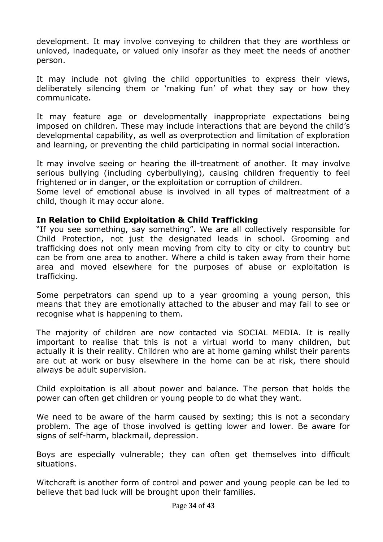development. It may involve conveying to children that they are worthless or unloved, inadequate, or valued only insofar as they meet the needs of another person.

It may include not giving the child opportunities to express their views, deliberately silencing them or 'making fun' of what they say or how they communicate.

It may feature age or developmentally inappropriate expectations being imposed on children. These may include interactions that are beyond the child's developmental capability, as well as overprotection and limitation of exploration and learning, or preventing the child participating in normal social interaction.

It may involve seeing or hearing the ill-treatment of another. It may involve serious bullying (including cyberbullying), causing children frequently to feel frightened or in danger, or the exploitation or corruption of children.

Some level of emotional abuse is involved in all types of maltreatment of a child, though it may occur alone.

## **In Relation to Child Exploitation & Child Trafficking**

"If you see something, say something". We are all collectively responsible for Child Protection, not just the designated leads in school. Grooming and trafficking does not only mean moving from city to city or city to country but can be from one area to another. Where a child is taken away from their home area and moved elsewhere for the purposes of abuse or exploitation is trafficking.

Some perpetrators can spend up to a year grooming a young person, this means that they are emotionally attached to the abuser and may fail to see or recognise what is happening to them.

The majority of children are now contacted via SOCIAL MEDIA. It is really important to realise that this is not a virtual world to many children, but actually it is their reality. Children who are at home gaming whilst their parents are out at work or busy elsewhere in the home can be at risk, there should always be adult supervision.

Child exploitation is all about power and balance. The person that holds the power can often get children or young people to do what they want.

We need to be aware of the harm caused by sexting; this is not a secondary problem. The age of those involved is getting lower and lower. Be aware for signs of self-harm, blackmail, depression.

Boys are especially vulnerable; they can often get themselves into difficult situations.

Witchcraft is another form of control and power and young people can be led to believe that bad luck will be brought upon their families.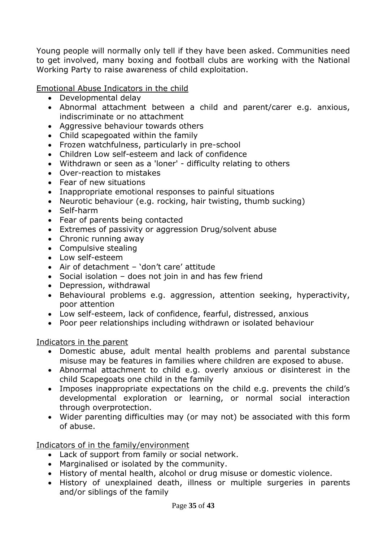Young people will normally only tell if they have been asked. Communities need to get involved, many boxing and football clubs are working with the National Working Party to raise awareness of child exploitation.

Emotional Abuse Indicators in the child

- Developmental delay
- Abnormal attachment between a child and parent/carer e.g. anxious, indiscriminate or no attachment
- Aggressive behaviour towards others
- Child scapegoated within the family
- Frozen watchfulness, particularly in pre-school
- Children Low self-esteem and lack of confidence
- Withdrawn or seen as a 'loner' difficulty relating to others
- Over-reaction to mistakes
- Fear of new situations
- Inappropriate emotional responses to painful situations
- Neurotic behaviour (e.g. rocking, hair twisting, thumb sucking)
- Self-harm
- Fear of parents being contacted
- Extremes of passivity or aggression Drug/solvent abuse
- Chronic running away
- Compulsive stealing
- Low self-esteem
- Air of detachment 'don't care' attitude
- Social isolation does not join in and has few friend
- Depression, withdrawal
- Behavioural problems e.g. aggression, attention seeking, hyperactivity, poor attention
- Low self-esteem, lack of confidence, fearful, distressed, anxious
- Poor peer relationships including withdrawn or isolated behaviour

Indicators in the parent

- Domestic abuse, adult mental health problems and parental substance misuse may be features in families where children are exposed to abuse.
- Abnormal attachment to child e.g. overly anxious or disinterest in the child Scapegoats one child in the family
- Imposes inappropriate expectations on the child e.g. prevents the child's developmental exploration or learning, or normal social interaction through overprotection.
- Wider parenting difficulties may (or may not) be associated with this form of abuse.

Indicators of in the family/environment

- Lack of support from family or social network.
- Marginalised or isolated by the community.
- History of mental health, alcohol or drug misuse or domestic violence.
- History of unexplained death, illness or multiple surgeries in parents and/or siblings of the family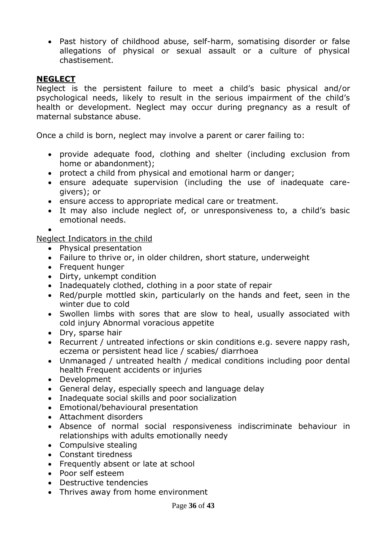• Past history of childhood abuse, self-harm, somatising disorder or false allegations of physical or sexual assault or a culture of physical chastisement.

#### **NEGLECT**

Neglect is the persistent failure to meet a child's basic physical and/or psychological needs, likely to result in the serious impairment of the child's health or development. Neglect may occur during pregnancy as a result of maternal substance abuse.

Once a child is born, neglect may involve a parent or carer failing to:

- provide adequate food, clothing and shelter (including exclusion from home or abandonment);
- protect a child from physical and emotional harm or danger;
- ensure adequate supervision (including the use of inadequate caregivers); or
- ensure access to appropriate medical care or treatment.
- It may also include neglect of, or unresponsiveness to, a child's basic emotional needs.

 $\bullet$ 

Neglect Indicators in the child

- Physical presentation
- Failure to thrive or, in older children, short stature, underweight
- Frequent hunger
- Dirty, unkempt condition
- Inadequately clothed, clothing in a poor state of repair
- Red/purple mottled skin, particularly on the hands and feet, seen in the winter due to cold
- Swollen limbs with sores that are slow to heal, usually associated with cold injury Abnormal voracious appetite
- Dry, sparse hair
- Recurrent / untreated infections or skin conditions e.g. severe nappy rash, eczema or persistent head lice / scabies/ diarrhoea
- Unmanaged / untreated health / medical conditions including poor dental health Frequent accidents or injuries
- Development
- General delay, especially speech and language delay
- Inadequate social skills and poor socialization
- Emotional/behavioural presentation
- Attachment disorders
- Absence of normal social responsiveness indiscriminate behaviour in relationships with adults emotionally needy
- Compulsive stealing
- Constant tiredness
- Frequently absent or late at school
- Poor self esteem
- Destructive tendencies
- Thrives away from home environment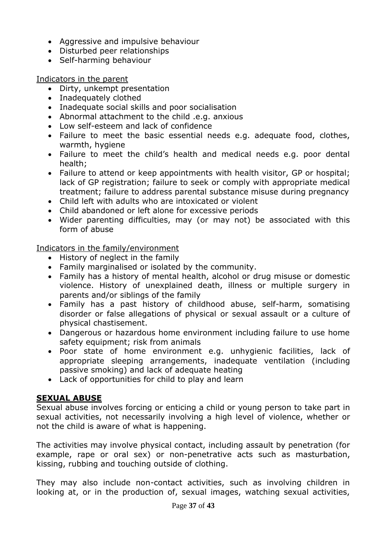- Aggressive and impulsive behaviour
- Disturbed peer relationships
- Self-harming behaviour

Indicators in the parent

- Dirty, unkempt presentation
- Inadequately clothed
- Inadequate social skills and poor socialisation
- Abnormal attachment to the child .e.g. anxious
- Low self-esteem and lack of confidence
- Failure to meet the basic essential needs e.g. adequate food, clothes, warmth, hygiene
- Failure to meet the child's health and medical needs e.g. poor dental health;
- Failure to attend or keep appointments with health visitor, GP or hospital: lack of GP registration; failure to seek or comply with appropriate medical treatment; failure to address parental substance misuse during pregnancy
- Child left with adults who are intoxicated or violent
- Child abandoned or left alone for excessive periods
- Wider parenting difficulties, may (or may not) be associated with this form of abuse

Indicators in the family/environment

- History of neglect in the family
- Family marginalised or isolated by the community.
- Family has a history of mental health, alcohol or drug misuse or domestic violence. History of unexplained death, illness or multiple surgery in parents and/or siblings of the family
- Family has a past history of childhood abuse, self-harm, somatising disorder or false allegations of physical or sexual assault or a culture of physical chastisement.
- Dangerous or hazardous home environment including failure to use home safety equipment; risk from animals
- Poor state of home environment e.g. unhygienic facilities, lack of appropriate sleeping arrangements, inadequate ventilation (including passive smoking) and lack of adequate heating
- Lack of opportunities for child to play and learn

# **SEXUAL ABUSE**

Sexual abuse involves forcing or enticing a child or young person to take part in sexual activities, not necessarily involving a high level of violence, whether or not the child is aware of what is happening.

The activities may involve physical contact, including assault by penetration (for example, rape or oral sex) or non-penetrative acts such as masturbation, kissing, rubbing and touching outside of clothing.

They may also include non-contact activities, such as involving children in looking at, or in the production of, sexual images, watching sexual activities,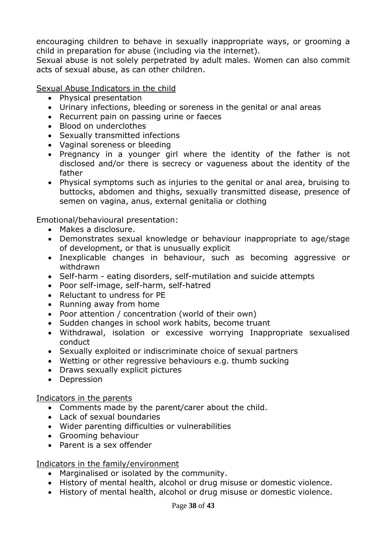encouraging children to behave in sexually inappropriate ways, or grooming a child in preparation for abuse (including via the internet).

Sexual abuse is not solely perpetrated by adult males. Women can also commit acts of sexual abuse, as can other children.

Sexual Abuse Indicators in the child

- Physical presentation
- Urinary infections, bleeding or soreness in the genital or anal areas
- Recurrent pain on passing urine or faeces
- Blood on underclothes
- Sexually transmitted infections
- Vaginal soreness or bleeding
- Pregnancy in a younger girl where the identity of the father is not disclosed and/or there is secrecy or vagueness about the identity of the father
- Physical symptoms such as injuries to the genital or anal area, bruising to buttocks, abdomen and thighs, sexually transmitted disease, presence of semen on vagina, anus, external genitalia or clothing

Emotional/behavioural presentation:

- Makes a disclosure.
- Demonstrates sexual knowledge or behaviour inappropriate to age/stage of development, or that is unusually explicit
- Inexplicable changes in behaviour, such as becoming aggressive or withdrawn
- Self-harm eating disorders, self-mutilation and suicide attempts
- Poor self-image, self-harm, self-hatred
- Reluctant to undress for PE
- Running away from home
- Poor attention / concentration (world of their own)
- Sudden changes in school work habits, become truant
- Withdrawal, isolation or excessive worrying Inappropriate sexualised conduct
- Sexually exploited or indiscriminate choice of sexual partners
- Wetting or other regressive behaviours e.g. thumb sucking
- Draws sexually explicit pictures
- Depression

#### Indicators in the parents

- Comments made by the parent/carer about the child.
- Lack of sexual boundaries
- Wider parenting difficulties or vulnerabilities
- Grooming behaviour
- Parent is a sex offender

#### Indicators in the family/environment

- Marginalised or isolated by the community.
- History of mental health, alcohol or drug misuse or domestic violence.
- History of mental health, alcohol or drug misuse or domestic violence.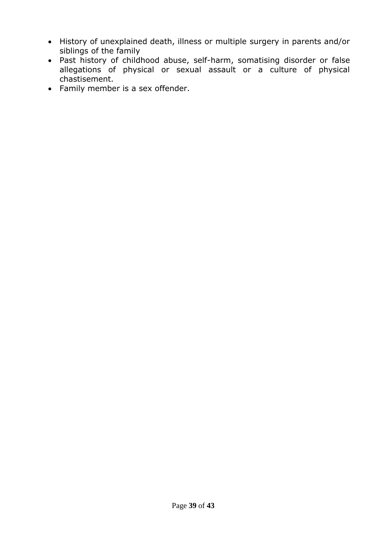- History of unexplained death, illness or multiple surgery in parents and/or siblings of the family
- Past history of childhood abuse, self-harm, somatising disorder or false allegations of physical or sexual assault or a culture of physical chastisement.
- Family member is a sex offender.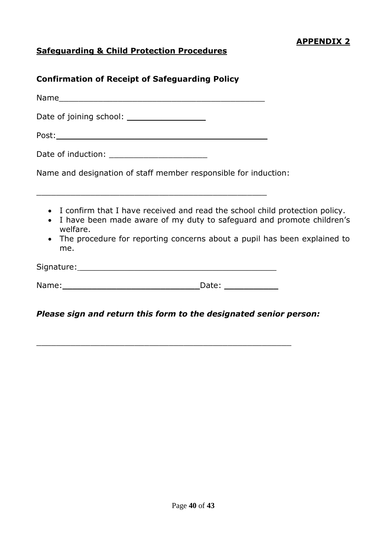# **Safeguarding & Child Protection Procedures**

## **Confirmation of Receipt of Safeguarding Policy**

Name\_\_\_\_\_\_\_\_\_\_\_\_\_\_\_\_\_\_\_\_\_\_\_\_\_\_\_\_\_\_\_\_\_\_\_\_\_\_\_\_\_\_

Date of joining school: **Date of identify** 

Post:\_\_\_\_\_\_\_\_\_\_\_\_\_\_\_\_\_\_\_\_\_\_\_\_\_\_\_\_\_\_\_\_\_\_\_\_\_\_\_\_\_\_\_

Date of induction: **Example 20** 

Name and designation of staff member responsible for induction:

\_\_\_\_\_\_\_\_\_\_\_\_\_\_\_\_\_\_\_\_\_\_\_\_\_\_\_\_\_\_\_\_\_\_\_\_\_\_\_\_\_\_\_\_\_\_\_

- I confirm that I have received and read the school child protection policy.
- I have been made aware of my duty to safeguard and promote children's welfare.
- The procedure for reporting concerns about a pupil has been explained to me.

| Signature: |  |
|------------|--|
|            |  |

Name: The contract of the contract of the Date:  $\Box$  Date:  $\Box$ 

\_\_\_\_\_\_\_\_\_\_\_\_\_\_\_\_\_\_\_\_\_\_\_\_\_\_\_\_\_\_\_\_\_\_\_\_\_\_\_\_\_\_\_\_\_\_\_\_\_\_\_\_

## *Please sign and return this form to the designated senior person:*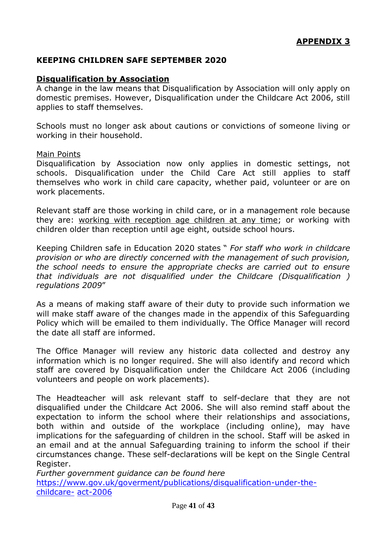#### **KEEPING CHILDREN SAFE SEPTEMBER 2020**

#### **Disqualification by Association**

A change in the law means that Disqualification by Association will only apply on domestic premises. However, Disqualification under the Childcare Act 2006, still applies to staff themselves.

Schools must no longer ask about cautions or convictions of someone living or working in their household.

#### Main Points

Disqualification by Association now only applies in domestic settings, not schools. Disqualification under the Child Care Act still applies to staff themselves who work in child care capacity, whether paid, volunteer or are on work placements.

Relevant staff are those working in child care, or in a management role because they are: working with reception age children at any time; or working with children older than reception until age eight, outside school hours.

Keeping Children safe in Education 2020 states " *For staff who work in childcare provision or who are directly concerned with the management of such provision, the school needs to ensure the appropriate checks are carried out to ensure that individuals are not disqualified under the Childcare (Disqualification ) regulations 2009*"

As a means of making staff aware of their duty to provide such information we will make staff aware of the changes made in the appendix of this Safeguarding Policy which will be emailed to them individually. The Office Manager will record the date all staff are informed.

The Office Manager will review any historic data collected and destroy any information which is no longer required. She will also identify and record which staff are covered by Disqualification under the Childcare Act 2006 (including volunteers and people on work placements).

The Headteacher will ask relevant staff to self-declare that they are not disqualified under the Childcare Act 2006. She will also remind staff about the expectation to inform the school where their relationships and associations, both within and outside of the workplace (including online), may have implications for the safeguarding of children in the school. Staff will be asked in an email and at the annual Safeguarding training to inform the school if their circumstances change. These self-declarations will be kept on the Single Central Register.

*Further government guidance can be found here*  [https://www.gov.uk/goverment/publications/disqualification-under-the](https://www.gov.uk/goverment/publications/disqualification-under-the-childcare-)[childcare-](https://www.gov.uk/goverment/publications/disqualification-under-the-childcare-) [act-2006](https://www.gov.uk/goverment/publications/disqualification-under-the-childcare-act-2006)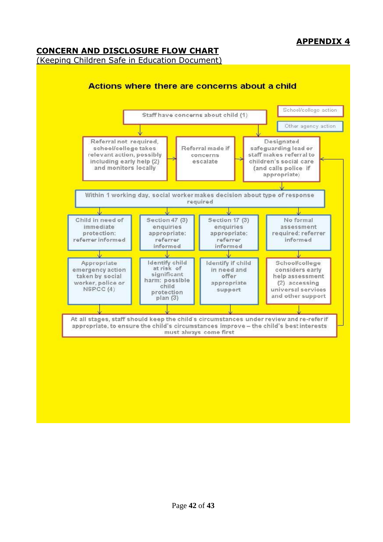# **APPENDIX 4**

## **CONCERN AND DISCLOSURE FLOW CHART**

#### (Keeping Children Safe in Education Document)